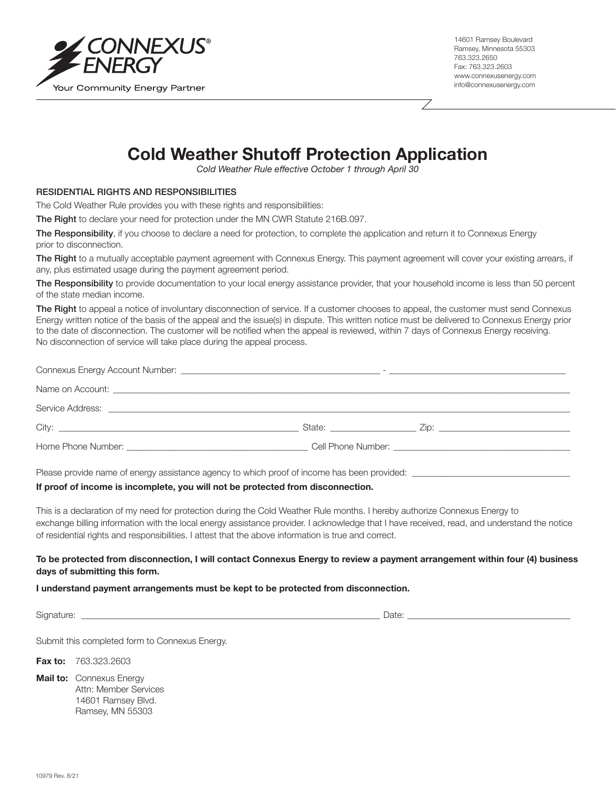

14601 Ramsey Boulevard Ramsey, Minnesota 55303 763.323.2650 Fax: 763.323.2603 www.connexusenergy.com info@connexusenergy.com

# **Cold Weather Shutoff Protection Application**

*Cold Weather Rule effective October 1 through April 30*

#### RESIDENTIAL RIGHTS AND RESPONSIBILITIES

The Cold Weather Rule provides you with these rights and responsibilities:

The Right to declare your need for protection under the MN CWR Statute 216B.097.

The Responsibility, if you choose to declare a need for protection, to complete the application and return it to Connexus Energy prior to disconnection.

The Right to a mutually acceptable payment agreement with Connexus Energy. This payment agreement will cover your existing arrears, if any, plus estimated usage during the payment agreement period.

The Responsibility to provide documentation to your local energy assistance provider, that your household income is less than 50 percent of the state median income.

The Right to appeal a notice of involuntary disconnection of service. If a customer chooses to appeal, the customer must send Connexus Energy written notice of the basis of the appeal and the issue(s) in dispute. This written notice must be delivered to Connexus Energy prior to the date of disconnection. The customer will be notified when the appeal is reviewed, within 7 days of Connexus Energy receiving. No disconnection of service will take place during the appeal process.

Please provide name of energy assistance agency to which proof of income has been provided:

#### **If proof of income is incomplete, you will not be protected from disconnection.**

This is a declaration of my need for protection during the Cold Weather Rule months. I hereby authorize Connexus Energy to exchange billing information with the local energy assistance provider. I acknowledge that I have received, read, and understand the notice of residential rights and responsibilities. I attest that the above information is true and correct.

#### **To be protected from disconnection, I will contact Connexus Energy to review a payment arrangement within four (4) business days of submitting this form.**

#### **I understand payment arrangements must be kept to be protected from disconnection.**

Signature: \_\_\_\_\_\_\_\_\_\_\_\_\_\_\_\_\_\_\_\_\_\_\_\_\_\_\_\_\_\_\_\_\_\_\_\_\_\_\_\_\_\_\_\_\_\_\_\_\_\_\_\_\_\_\_\_\_\_\_\_\_\_\_\_\_\_ Date: \_\_\_\_\_\_\_\_\_\_\_\_\_\_\_\_\_\_\_\_\_\_\_\_\_\_\_\_\_\_\_\_\_\_\_\_

Submit this completed form to Connexus Energy.

**Fax to:** 763.323.2603

**Mail to:** Connexus Energy Attn: Member Services 14601 Ramsey Blvd. Ramsey, MN 55303